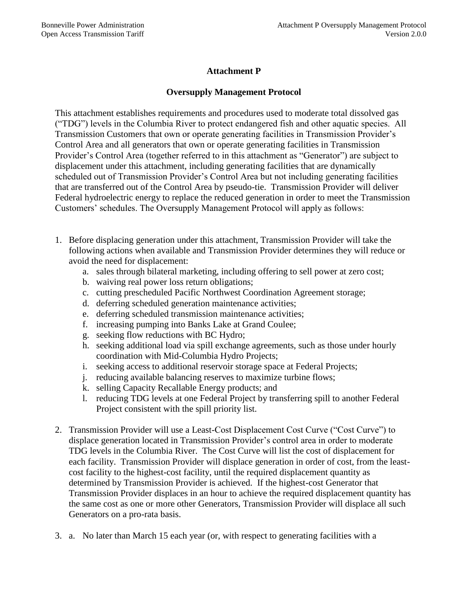## **Attachment P**

## **Oversupply Management Protocol**

This attachment establishes requirements and procedures used to moderate total dissolved gas ("TDG") levels in the Columbia River to protect endangered fish and other aquatic species. All Transmission Customers that own or operate generating facilities in Transmission Provider's Control Area and all generators that own or operate generating facilities in Transmission Provider's Control Area (together referred to in this attachment as "Generator") are subject to displacement under this attachment, including generating facilities that are dynamically scheduled out of Transmission Provider's Control Area but not including generating facilities that are transferred out of the Control Area by pseudo-tie. Transmission Provider will deliver Federal hydroelectric energy to replace the reduced generation in order to meet the Transmission Customers' schedules. The Oversupply Management Protocol will apply as follows:

- 1. Before displacing generation under this attachment, Transmission Provider will take the following actions when available and Transmission Provider determines they will reduce or avoid the need for displacement:
	- a. sales through bilateral marketing, including offering to sell power at zero cost;
	- b. waiving real power loss return obligations;
	- c. cutting prescheduled Pacific Northwest Coordination Agreement storage;
	- d. deferring scheduled generation maintenance activities;
	- e. deferring scheduled transmission maintenance activities;
	- f. increasing pumping into Banks Lake at Grand Coulee;
	- g. seeking flow reductions with BC Hydro;
	- h. seeking additional load via spill exchange agreements, such as those under hourly coordination with Mid-Columbia Hydro Projects;
	- i. seeking access to additional reservoir storage space at Federal Projects;
	- j. reducing available balancing reserves to maximize turbine flows;
	- k. selling Capacity Recallable Energy products; and
	- l. reducing TDG levels at one Federal Project by transferring spill to another Federal Project consistent with the spill priority list.
- 2. Transmission Provider will use a Least-Cost Displacement Cost Curve ("Cost Curve") to displace generation located in Transmission Provider's control area in order to moderate TDG levels in the Columbia River. The Cost Curve will list the cost of displacement for each facility. Transmission Provider will displace generation in order of cost, from the leastcost facility to the highest-cost facility, until the required displacement quantity as determined by Transmission Provider is achieved. If the highest-cost Generator that Transmission Provider displaces in an hour to achieve the required displacement quantity has the same cost as one or more other Generators, Transmission Provider will displace all such Generators on a pro-rata basis.
- 3. a. No later than March 15 each year (or, with respect to generating facilities with a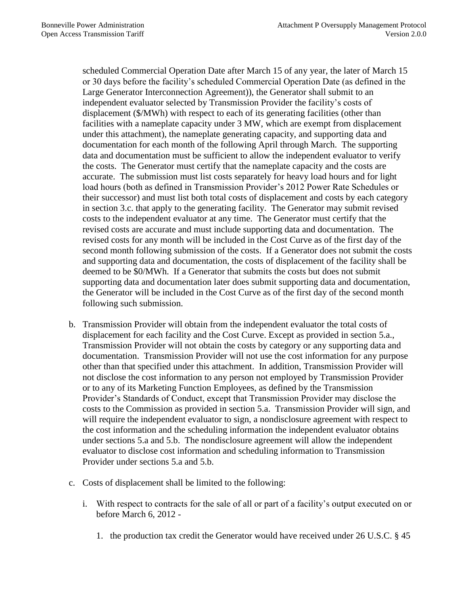scheduled Commercial Operation Date after March 15 of any year, the later of March 15 or 30 days before the facility's scheduled Commercial Operation Date (as defined in the Large Generator Interconnection Agreement)), the Generator shall submit to an independent evaluator selected by Transmission Provider the facility's costs of displacement (\$/MWh) with respect to each of its generating facilities (other than facilities with a nameplate capacity under 3 MW, which are exempt from displacement under this attachment), the nameplate generating capacity, and supporting data and documentation for each month of the following April through March. The supporting data and documentation must be sufficient to allow the independent evaluator to verify the costs. The Generator must certify that the nameplate capacity and the costs are accurate. The submission must list costs separately for heavy load hours and for light load hours (both as defined in Transmission Provider's 2012 Power Rate Schedules or their successor) and must list both total costs of displacement and costs by each category in section 3.c. that apply to the generating facility. The Generator may submit revised costs to the independent evaluator at any time. The Generator must certify that the revised costs are accurate and must include supporting data and documentation. The revised costs for any month will be included in the Cost Curve as of the first day of the second month following submission of the costs. If a Generator does not submit the costs and supporting data and documentation, the costs of displacement of the facility shall be deemed to be \$0/MWh. If a Generator that submits the costs but does not submit supporting data and documentation later does submit supporting data and documentation, the Generator will be included in the Cost Curve as of the first day of the second month following such submission.

- b. Transmission Provider will obtain from the independent evaluator the total costs of displacement for each facility and the Cost Curve. Except as provided in section 5.a., Transmission Provider will not obtain the costs by category or any supporting data and documentation. Transmission Provider will not use the cost information for any purpose other than that specified under this attachment. In addition, Transmission Provider will not disclose the cost information to any person not employed by Transmission Provider or to any of its Marketing Function Employees, as defined by the Transmission Provider's Standards of Conduct, except that Transmission Provider may disclose the costs to the Commission as provided in section 5.a. Transmission Provider will sign, and will require the independent evaluator to sign, a nondisclosure agreement with respect to the cost information and the scheduling information the independent evaluator obtains under sections 5.a and 5.b. The nondisclosure agreement will allow the independent evaluator to disclose cost information and scheduling information to Transmission Provider under sections 5.a and 5.b.
- c. Costs of displacement shall be limited to the following:
	- i. With respect to contracts for the sale of all or part of a facility's output executed on or before March 6, 2012 -
		- 1. the production tax credit the Generator would have received under 26 U.S.C. § 45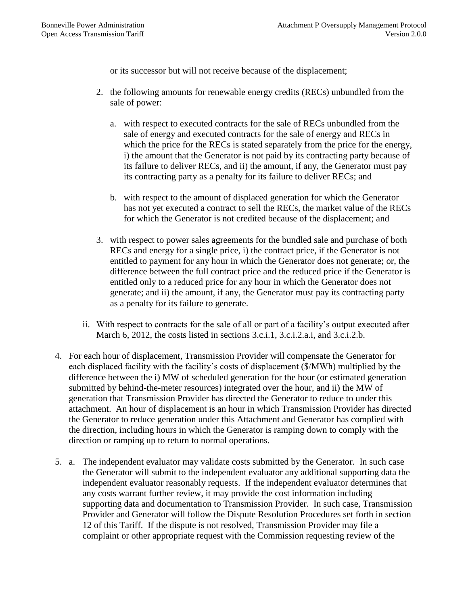or its successor but will not receive because of the displacement;

- 2. the following amounts for renewable energy credits (RECs) unbundled from the sale of power:
	- a. with respect to executed contracts for the sale of RECs unbundled from the sale of energy and executed contracts for the sale of energy and RECs in which the price for the RECs is stated separately from the price for the energy, i) the amount that the Generator is not paid by its contracting party because of its failure to deliver RECs, and ii) the amount, if any, the Generator must pay its contracting party as a penalty for its failure to deliver RECs; and
	- b. with respect to the amount of displaced generation for which the Generator has not yet executed a contract to sell the RECs, the market value of the RECs for which the Generator is not credited because of the displacement; and
- 3. with respect to power sales agreements for the bundled sale and purchase of both RECs and energy for a single price, i) the contract price, if the Generator is not entitled to payment for any hour in which the Generator does not generate; or, the difference between the full contract price and the reduced price if the Generator is entitled only to a reduced price for any hour in which the Generator does not generate; and ii) the amount, if any, the Generator must pay its contracting party as a penalty for its failure to generate.
- ii. With respect to contracts for the sale of all or part of a facility's output executed after March 6, 2012, the costs listed in sections 3.c.i.1, 3.c.i.2.a.i, and 3.c.i.2.b.
- 4. For each hour of displacement, Transmission Provider will compensate the Generator for each displaced facility with the facility's costs of displacement (\$/MWh) multiplied by the difference between the i) MW of scheduled generation for the hour (or estimated generation submitted by behind-the-meter resources) integrated over the hour, and ii) the MW of generation that Transmission Provider has directed the Generator to reduce to under this attachment. An hour of displacement is an hour in which Transmission Provider has directed the Generator to reduce generation under this Attachment and Generator has complied with the direction, including hours in which the Generator is ramping down to comply with the direction or ramping up to return to normal operations.
- 5. a. The independent evaluator may validate costs submitted by the Generator. In such case the Generator will submit to the independent evaluator any additional supporting data the independent evaluator reasonably requests. If the independent evaluator determines that any costs warrant further review, it may provide the cost information including supporting data and documentation to Transmission Provider. In such case, Transmission Provider and Generator will follow the Dispute Resolution Procedures set forth in section 12 of this Tariff. If the dispute is not resolved, Transmission Provider may file a complaint or other appropriate request with the Commission requesting review of the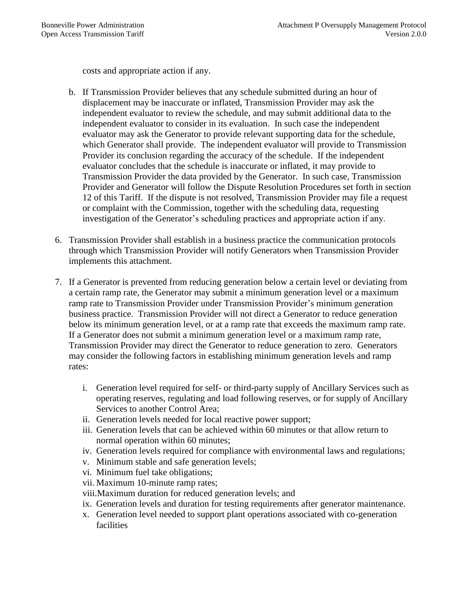costs and appropriate action if any.

- b. If Transmission Provider believes that any schedule submitted during an hour of displacement may be inaccurate or inflated, Transmission Provider may ask the independent evaluator to review the schedule, and may submit additional data to the independent evaluator to consider in its evaluation. In such case the independent evaluator may ask the Generator to provide relevant supporting data for the schedule, which Generator shall provide. The independent evaluator will provide to Transmission Provider its conclusion regarding the accuracy of the schedule. If the independent evaluator concludes that the schedule is inaccurate or inflated, it may provide to Transmission Provider the data provided by the Generator. In such case, Transmission Provider and Generator will follow the Dispute Resolution Procedures set forth in section 12 of this Tariff. If the dispute is not resolved, Transmission Provider may file a request or complaint with the Commission, together with the scheduling data, requesting investigation of the Generator's scheduling practices and appropriate action if any.
- 6. Transmission Provider shall establish in a business practice the communication protocols through which Transmission Provider will notify Generators when Transmission Provider implements this attachment.
- 7. If a Generator is prevented from reducing generation below a certain level or deviating from a certain ramp rate, the Generator may submit a minimum generation level or a maximum ramp rate to Transmission Provider under Transmission Provider's minimum generation business practice. Transmission Provider will not direct a Generator to reduce generation below its minimum generation level, or at a ramp rate that exceeds the maximum ramp rate. If a Generator does not submit a minimum generation level or a maximum ramp rate, Transmission Provider may direct the Generator to reduce generation to zero. Generators may consider the following factors in establishing minimum generation levels and ramp rates:
	- i. Generation level required for self- or third-party supply of Ancillary Services such as operating reserves, regulating and load following reserves, or for supply of Ancillary Services to another Control Area;
	- ii. Generation levels needed for local reactive power support;
	- iii. Generation levels that can be achieved within 60 minutes or that allow return to normal operation within 60 minutes;
	- iv. Generation levels required for compliance with environmental laws and regulations;
	- v. Minimum stable and safe generation levels;
	- vi. Minimum fuel take obligations;
	- vii. Maximum 10-minute ramp rates;
	- viii.Maximum duration for reduced generation levels; and
	- ix. Generation levels and duration for testing requirements after generator maintenance.
	- x. Generation level needed to support plant operations associated with co-generation facilities